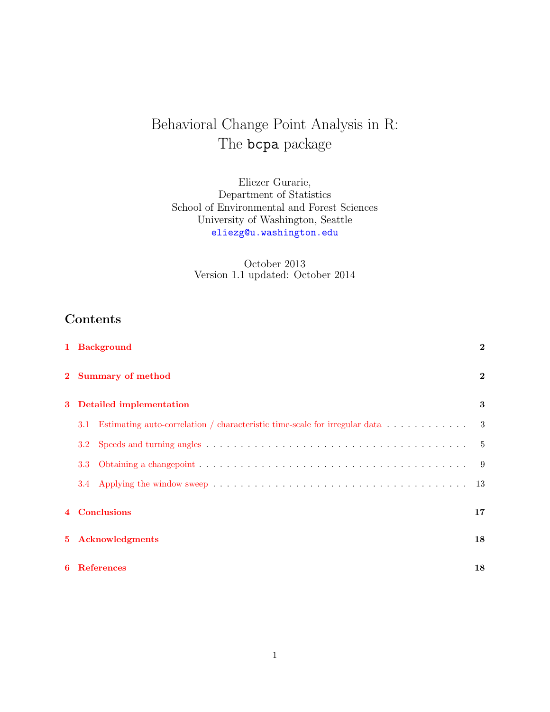# Behavioral Change Point Analysis in R: The **bcpa** package

Eliezer Gurarie, Department of Statistics School of Environmental and Forest Sciences University of Washington, Seattle <eliezg@u.washington.edu>

> October 2013 Version 1.1 updated: October 2014

# Contents

|             | 1 Background                                                                      | $\overline{2}$ |  |  |  |  |  |  |  |
|-------------|-----------------------------------------------------------------------------------|----------------|--|--|--|--|--|--|--|
|             | 2 Summary of method                                                               | $\bf{2}$       |  |  |  |  |  |  |  |
| 3           | Detailed implementation                                                           | 3              |  |  |  |  |  |  |  |
|             | Estimating auto-correlation / characteristic time-scale for irregular data<br>3.1 | 3              |  |  |  |  |  |  |  |
|             | $3.2\,$                                                                           | -5             |  |  |  |  |  |  |  |
|             | 3.3                                                                               | -9             |  |  |  |  |  |  |  |
|             |                                                                                   | 13             |  |  |  |  |  |  |  |
|             | 4 Conclusions                                                                     | 17             |  |  |  |  |  |  |  |
| $5^{\circ}$ | Acknowledgments                                                                   | 18             |  |  |  |  |  |  |  |
| 6           | <b>References</b><br>18                                                           |                |  |  |  |  |  |  |  |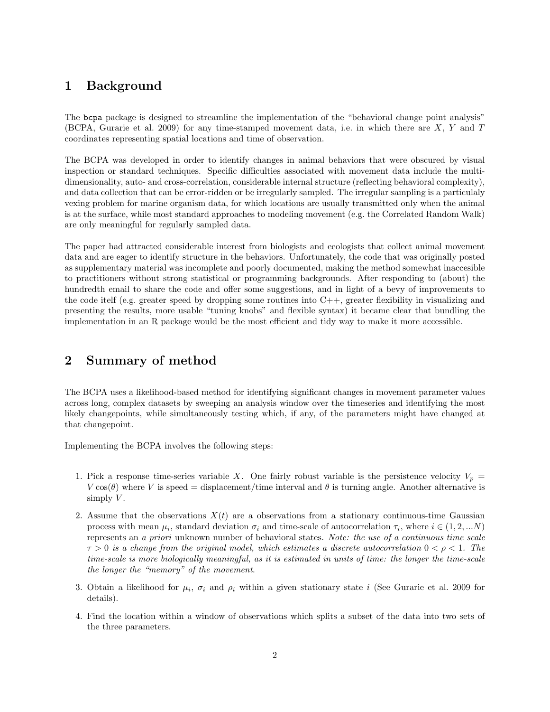# <span id="page-1-0"></span>1 Background

The bcpa package is designed to streamline the implementation of the "behavioral change point analysis" (BCPA, Gurarie et al. 2009) for any time-stamped movement data, i.e. in which there are X, Y and T coordinates representing spatial locations and time of observation.

The BCPA was developed in order to identify changes in animal behaviors that were obscured by visual inspection or standard techniques. Specific difficulties associated with movement data include the multidimensionality, auto- and cross-correlation, considerable internal structure (reflecting behavioral complexity), and data collection that can be error-ridden or be irregularly sampled. The irregular sampling is a particulaly vexing problem for marine organism data, for which locations are usually transmitted only when the animal is at the surface, while most standard approaches to modeling movement (e.g. the Correlated Random Walk) are only meaningful for regularly sampled data.

The paper had attracted considerable interest from biologists and ecologists that collect animal movement data and are eager to identify structure in the behaviors. Unfortunately, the code that was originally posted as supplementary material was incomplete and poorly documented, making the method somewhat inaccesible to practitioners without strong statistical or programming backgrounds. After responding to (about) the hundredth email to share the code and offer some suggestions, and in light of a bevy of improvements to the code itelf (e.g. greater speed by dropping some routines into  $C_{++}$ , greater flexibility in visualizing and presenting the results, more usable "tuning knobs" and flexible syntax) it became clear that bundling the implementation in an R package would be the most efficient and tidy way to make it more accessible.

# <span id="page-1-1"></span>2 Summary of method

The BCPA uses a likelihood-based method for identifying significant changes in movement parameter values across long, complex datasets by sweeping an analysis window over the timeseries and identifying the most likely changepoints, while simultaneously testing which, if any, of the parameters might have changed at that changepoint.

Implementing the BCPA involves the following steps:

- 1. Pick a response time-series variable X. One fairly robust variable is the persistence velocity  $V_p =$  $V \cos(\theta)$  where V is speed = displacement/time interval and  $\theta$  is turning angle. Another alternative is simply  $V$ .
- 2. Assume that the observations  $X(t)$  are a observations from a stationary continuous-time Gaussian process with mean  $\mu_i$ , standard deviation  $\sigma_i$  and time-scale of autocorrelation  $\tau_i$ , where  $i \in (1, 2, ...N)$ represents an a priori unknown number of behavioral states. Note: the use of a continuous time scale  $\tau > 0$  is a change from the original model, which estimates a discrete autocorrelation  $0 < \rho < 1$ . The time-scale is more biologically meaningful, as it is estimated in units of time: the longer the time-scale the longer the "memory" of the movement.
- 3. Obtain a likelihood for  $\mu_i$ ,  $\sigma_i$  and  $\rho_i$  within a given stationary state i (See Gurarie et al. 2009 for details).
- 4. Find the location within a window of observations which splits a subset of the data into two sets of the three parameters.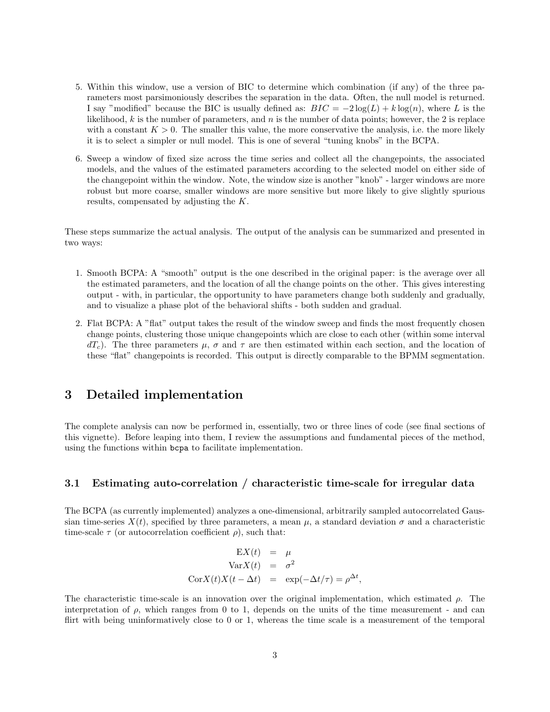- 5. Within this window, use a version of BIC to determine which combination (if any) of the three parameters most parsimoniously describes the separation in the data. Often, the null model is returned. I say "modified" because the BIC is usually defined as:  $BIC = -2\log(L) + k\log(n)$ , where L is the likelihood,  $k$  is the number of parameters, and  $n$  is the number of data points; however, the 2 is replace with a constant  $K > 0$ . The smaller this value, the more conservative the analysis, i.e. the more likely it is to select a simpler or null model. This is one of several "tuning knobs" in the BCPA.
- 6. Sweep a window of fixed size across the time series and collect all the changepoints, the associated models, and the values of the estimated parameters according to the selected model on either side of the changepoint within the window. Note, the window size is another "knob" - larger windows are more robust but more coarse, smaller windows are more sensitive but more likely to give slightly spurious results, compensated by adjusting the K.

These steps summarize the actual analysis. The output of the analysis can be summarized and presented in two ways:

- 1. Smooth BCPA: A "smooth" output is the one described in the original paper: is the average over all the estimated parameters, and the location of all the change points on the other. This gives interesting output - with, in particular, the opportunity to have parameters change both suddenly and gradually, and to visualize a phase plot of the behavioral shifts - both sudden and gradual.
- 2. Flat BCPA: A "flat" output takes the result of the window sweep and finds the most frequently chosen change points, clustering those unique changepoints which are close to each other (within some interval  $dT_c$ ). The three parameters  $\mu$ ,  $\sigma$  and  $\tau$  are then estimated within each section, and the location of these "flat" changepoints is recorded. This output is directly comparable to the BPMM segmentation.

## <span id="page-2-0"></span>3 Detailed implementation

The complete analysis can now be performed in, essentially, two or three lines of code (see final sections of this vignette). Before leaping into them, I review the assumptions and fundamental pieces of the method, using the functions within bcpa to facilitate implementation.

#### <span id="page-2-1"></span>3.1 Estimating auto-correlation / characteristic time-scale for irregular data

The BCPA (as currently implemented) analyzes a one-dimensional, arbitrarily sampled autocorrelated Gaussian time-series  $X(t)$ , specified by three parameters, a mean  $\mu$ , a standard deviation  $\sigma$  and a characteristic time-scale  $\tau$  (or autocorrelation coefficient  $\rho$ ), such that:

$$
\begin{aligned}\n\mathbf{E}X(t) &= \mu\\ \n\text{Var}X(t) &= \sigma^2\\ \n\text{Cor}X(t)X(t - \Delta t) &= \exp(-\Delta t/\tau) = \rho^{\Delta t},\n\end{aligned}
$$

The characteristic time-scale is an innovation over the original implementation, which estimated  $\rho$ . The interpretation of  $\rho$ , which ranges from 0 to 1, depends on the units of the time measurement - and can flirt with being uninformatively close to 0 or 1, whereas the time scale is a measurement of the temporal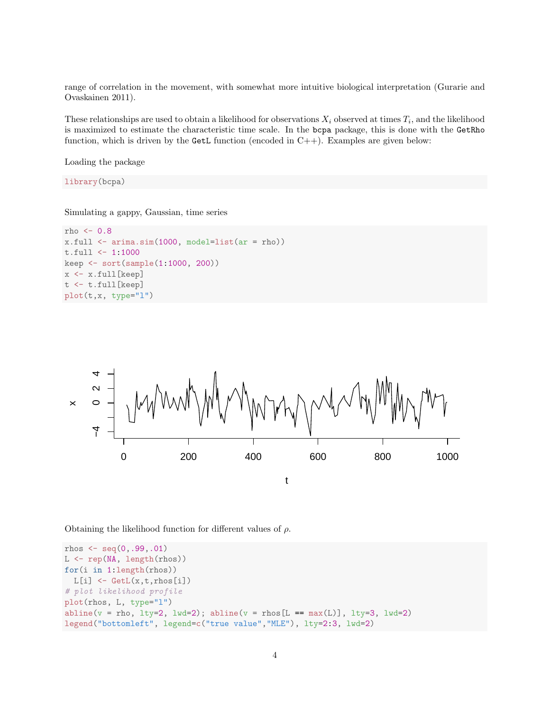range of correlation in the movement, with somewhat more intuitive biological interpretation (Gurarie and Ovaskainen 2011).

These relationships are used to obtain a likelihood for observations  $X_i$  observed at times  $T_i$ , and the likelihood is maximized to estimate the characteristic time scale. In the bcpa package, this is done with the GetRho function, which is driven by the GetL function (encoded in  $C++$ ). Examples are given below:

Loading the package

library(bcpa)

Simulating a gappy, Gaussian, time series

```
rho <-0.8x.full <- arima.sim(1000, model=list(ar = rho))
t.full <- 1:1000
keep <- sort(sample(1:1000, 200))
x <- x.full[keep]
t <- t.full[keep]
plot(t,x, type="l")
```


Obtaining the likelihood function for different values of  $\rho$ .

```
rhos \leq seq(0, .99, .01)L <- rep(NA, length(rhos))
for(i in 1:length(rhos))
 L[i] \leftarrow \text{GetL}(x, t, \text{rhos}[i])# plot likelihood profile
plot(rhos, L, type="l")
abline(v = rho, lty=2, lwd=2); abline(v = rho[E == max(L)], lty=3, lwd=2)legend("bottomleft", legend=c("true value","MLE"), lty=2:3, lwd=2)
```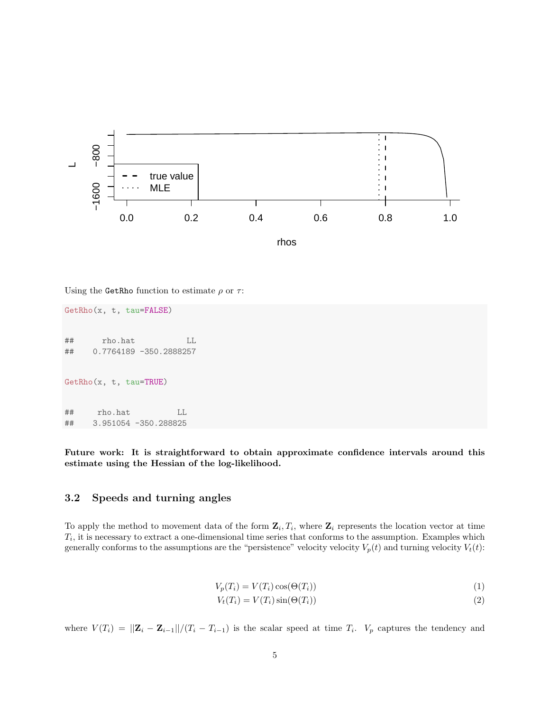

Using the GetRho function to estimate  $\rho$  or  $\tau$ :

GetRho(x, t, tau=FALSE) ## rho.hat LL ## 0.7764189 -350.2888257 GetRho(x, t, tau=TRUE) ## rho.hat LL ## 3.951054 -350.288825

Future work: It is straightforward to obtain approximate confidence intervals around this estimate using the Hessian of the log-likelihood.

#### <span id="page-4-0"></span>3.2 Speeds and turning angles

To apply the method to movement data of the form  $\mathbf{Z}_i$ ,  $T_i$ , where  $\mathbf{Z}_i$  represents the location vector at time  $T_i$ , it is necessary to extract a one-dimensional time series that conforms to the assumption. Examples which generally conforms to the assumptions are the "persistence" velocity velocity  $V_p(t)$  and turning velocity  $V_t(t)$ :

$$
V_p(T_i) = V(T_i)\cos(\Theta(T_i))\tag{1}
$$

$$
V_t(T_i) = V(T_i)\sin(\Theta(T_i))\tag{2}
$$

where  $V(T_i) = ||\mathbf{Z}_i - \mathbf{Z}_{i-1}||/(T_i - T_{i-1})$  is the scalar speed at time  $T_i$ .  $V_p$  captures the tendency and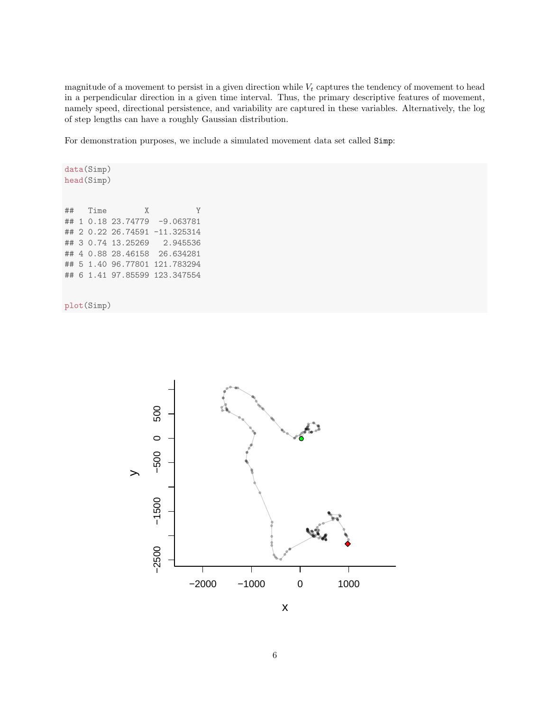magnitude of a movement to persist in a given direction while  $V_t$  captures the tendency of movement to head in a perpendicular direction in a given time interval. Thus, the primary descriptive features of movement, namely speed, directional persistence, and variability are captured in these variables. Alternatively, the log of step lengths can have a roughly Gaussian distribution.

For demonstration purposes, we include a simulated movement data set called Simp:

```
data(Simp)
head(Simp)
## Time X Y
## 1 0.18 23.74779
## 2 0.22 26.74591 -11.325314
## 3 0.74 13.25269 2.945536
## 4 0.88 28.46158 26.634281
## 5 1.40 96.77801 121.783294
## 6 1.41 97.85599 123.347554
```
plot(Simp)



x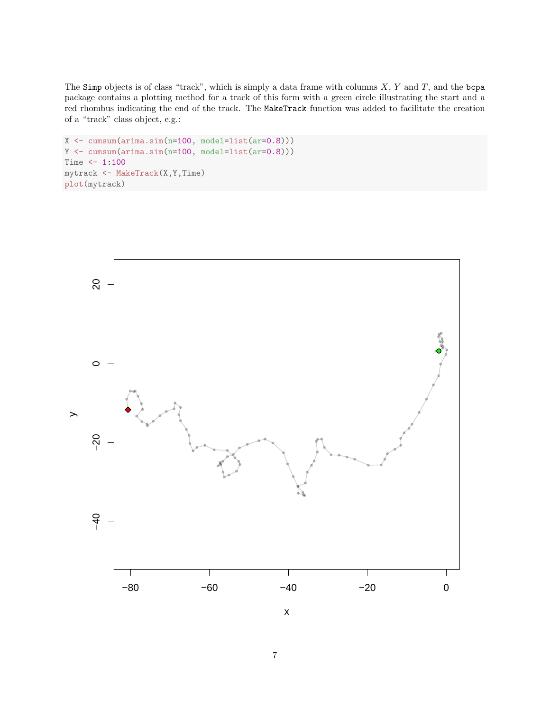The Simp objects is of class "track", which is simply a data frame with columns  $X, Y$  and  $T$ , and the bcpa package contains a plotting method for a track of this form with a green circle illustrating the start and a red rhombus indicating the end of the track. The MakeTrack function was added to facilitate the creation of a "track" class object, e.g.:

```
X \leftarrow \text{cumsum}(\arima.sim(n=100, \text{ model}=list(\ar=0.8)))Y \leftarrow \text{cumsum}(\arima.sim(n=100, model=list(ar=0.8)))Time <-1:100mytrack <- MakeTrack(X,Y,Time)
plot(mytrack)
```


x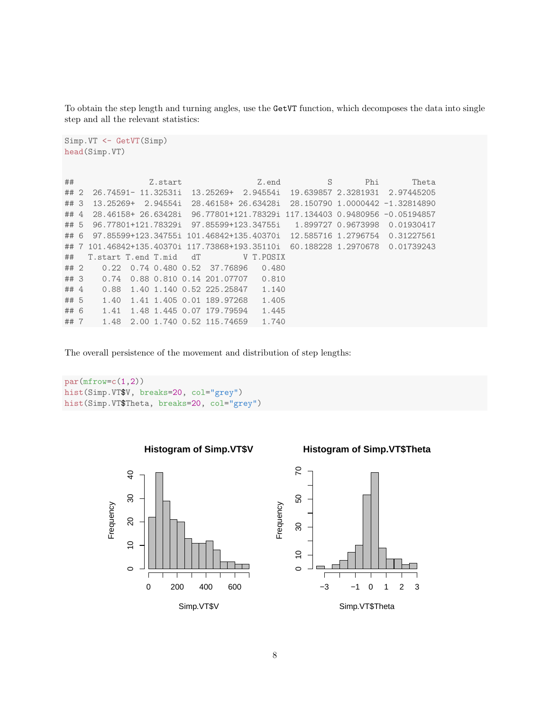To obtain the step length and turning angles, use the GetVT function, which decomposes the data into single step and all the relevant statistics:

```
Simp.VT <- GetVT(Simp)
head(Simp.VT)
```

```
## Z.start Z.end S Phi Theta
## 2 26.74591- 11.32531i 13.25269+ 2.94554i 19.639857 2.3281931 2.97445205
## 3 13.25269+ 2.94554i 28.46158+ 26.63428i 28.150790 1.0000442 -1.32814890
## 4 28.46158+ 26.63428i 96.77801+121.78329i 117.134403 0.9480956 -0.05194857
## 5 96.77801+121.78329i 97.85599+123.34755i 1.899727 0.9673998 0.01930417
## 6 97.85599+123.34755i 101.46842+135.40370i 12.585716 1.2796754 0.31227561
## 7 101.46842+135.40370i 117.73868+193.35110i 60.188228 1.2970678 0.01739243
## T.start T.end T.mid dT V T.POSIX
## 2 0.22 0.74 0.480 0.52 37.76896 0.480
## 3 0.74 0.88 0.810 0.14 201.07707 0.810
## 4 0.88 1.40 1.140 0.52 225.25847 1.140
## 5 1.40 1.41 1.405 0.01 189.97268 1.405
## 6 1.41 1.48 1.445 0.07 179.79594 1.445
## 7 1.48 2.00 1.740 0.52 115.74659 1.740
```
The overall persistence of the movement and distribution of step lengths:

**Histogram of Simp.VT\$V**

```
par(mfrow=c(1,2))hist(Simp.VT$V, breaks=20, col="grey")
hist(Simp.VT$Theta, breaks=20, col="grey")
```


Simp.VT\$V

#### **Histogram of Simp.VT\$Theta**

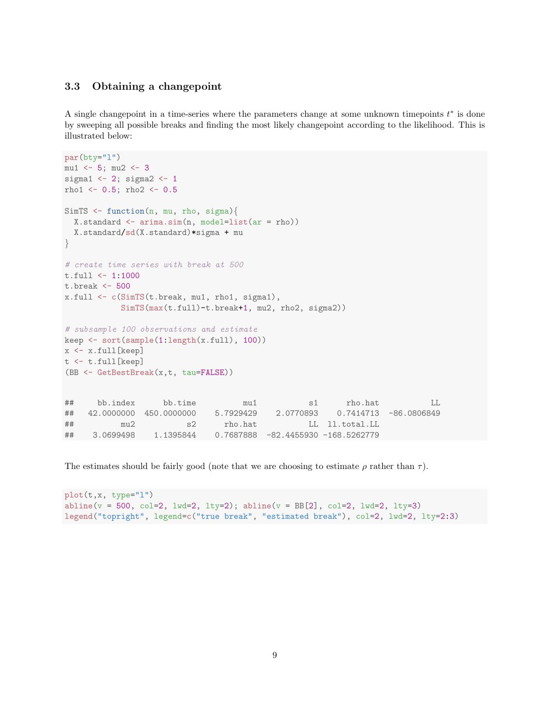### <span id="page-8-0"></span>3.3 Obtaining a changepoint

A single changepoint in a time-series where the parameters change at some unknown timepoints  $t^*$  is done by sweeping all possible breaks and finding the most likely changepoint according to the likelihood. This is illustrated below:

```
par(bty="l")
mu1 \leftarrow 5; mu2 \leftarrow 3sigma1 <-2; sigma2 <-1rho1 \le -0.5; rho2 \le -0.5SimTS \leq function(n, mu, rho, sigma){
 X.standard \leq arima.sim(n, model=list(ar = rho))
 X.standard/sd(X.standard)*sigma + mu
}
# create time series with break at 500
t.full <- 1:1000
t.break <- 500
x.full <- c(SimTS(t.break, mu1, rho1, sigma1),
           SimTS(max(t.full)-t.break+1, mu2, rho2, sigma2))
# subsample 100 observations and estimate
keep <- sort(sample(1:length(x.full), 100))
x <- x.full[keep]
t <- t.full[keep]
(BB <- GetBestBreak(x,t, tau=FALSE))
## bb.index bb.time mu1 s1 rho.hat LL
## 42.0000000 450.0000000 5.7929429 2.0770893 0.7414713 -86.0806849
## mu2 s2 rho.hat LL ll.total.LL
## 3.0699498 1.1395844 0.7687888 -82.4455930 -168.5262779
```
The estimates should be fairly good (note that we are choosing to estimate  $\rho$  rather than  $\tau$ ).

```
plot(t,x, type="l")
abline(v = 500, col=2, lwd=2, lty=2); abline(v = BB[2], col=2, lwd=2, lty=3)legend("topright", legend=c("true break", "estimated break"), col=2, lwd=2, lty=2:3)
```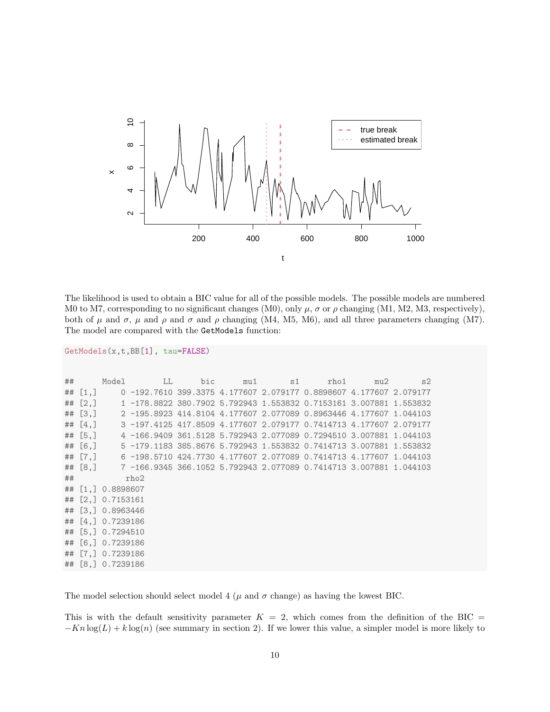

The likelihood is used to obtain a BIC value for all of the possible models. The possible models are numbered M0 to M7, corresponding to no significant changes (M0), only  $\mu$ ,  $\sigma$  or  $\rho$  changing (M1, M2, M3, respectively), both of  $\mu$  and  $\sigma$ ,  $\mu$  and  $\rho$  and  $\sigma$  and  $\rho$  changing (M4, M5, M6), and all three parameters changing (M7). The model are compared with the GetModels function:

```
GetModels(x,t,BB[1], tau=FALSE)
```

| $\#$ #    |                           | Model LL                                                                     |  | bic mu1 s1 |  | rho1 | mu2 | s2 |  |  |
|-----------|---------------------------|------------------------------------------------------------------------------|--|------------|--|------|-----|----|--|--|
|           |                           | ## [1,] 0 -192.7610 399.3375 4.177607 2.079177 0.8898607 4.177607 2.079177   |  |            |  |      |     |    |  |  |
|           |                           | ## [2,] 1 -178.8822 380.7902 5.792943 1.553832 0.7153161 3.007881 1.553832   |  |            |  |      |     |    |  |  |
|           |                           | ## [3,] 2 -195.8923 414.8104 4.177607 2.077089 0.8963446 4.177607 1.044103   |  |            |  |      |     |    |  |  |
| ## $[4,]$ |                           | 3 -197.4125 417.8509 4.177607 2.079177 0.7414713 4.177607 2.079177           |  |            |  |      |     |    |  |  |
| ## [5, ]  |                           | 4 -166.9409 361.5128 5.792943 2.077089 0.7294510 3.007881 1.044103           |  |            |  |      |     |    |  |  |
| ## [6.]   |                           | 5 -179.1183 385.8676 5.792943 1.553832 0.7414713 3.007881 1.553832           |  |            |  |      |     |    |  |  |
|           |                           | ## [7,]   6 -198.5710 424.7730 4.177607 2.077089 0.7414713 4.177607 1.044103 |  |            |  |      |     |    |  |  |
|           |                           | ## [8,] 7 -166.9345 366.1052 5.792943 2.077089 0.7414713 3.007881 1.044103   |  |            |  |      |     |    |  |  |
|           | $\#$ # $\#$ $\text{rho2}$ |                                                                              |  |            |  |      |     |    |  |  |
|           | ## [1,] 0.8898607         |                                                                              |  |            |  |      |     |    |  |  |
|           | ## [2,] 0.7153161         |                                                                              |  |            |  |      |     |    |  |  |
|           | ## [3,] 0.8963446         |                                                                              |  |            |  |      |     |    |  |  |
|           | ## [4,] 0.7239186         |                                                                              |  |            |  |      |     |    |  |  |
|           | ## [5,] 0.7294510         |                                                                              |  |            |  |      |     |    |  |  |
|           | ## [6,] 0.7239186         |                                                                              |  |            |  |      |     |    |  |  |
|           | ## [7,] 0.7239186         |                                                                              |  |            |  |      |     |    |  |  |
|           | ## [8,] 0.7239186         |                                                                              |  |            |  |      |     |    |  |  |

The model selection should select model 4 ( $\mu$  and  $\sigma$  change) as having the lowest BIC.

This is with the default sensitivity parameter  $K = 2$ , which comes from the definition of the BIC =  $-Kn \log(L) + k \log(n)$  (see summary in section 2). If we lower this value, a simpler model is more likely to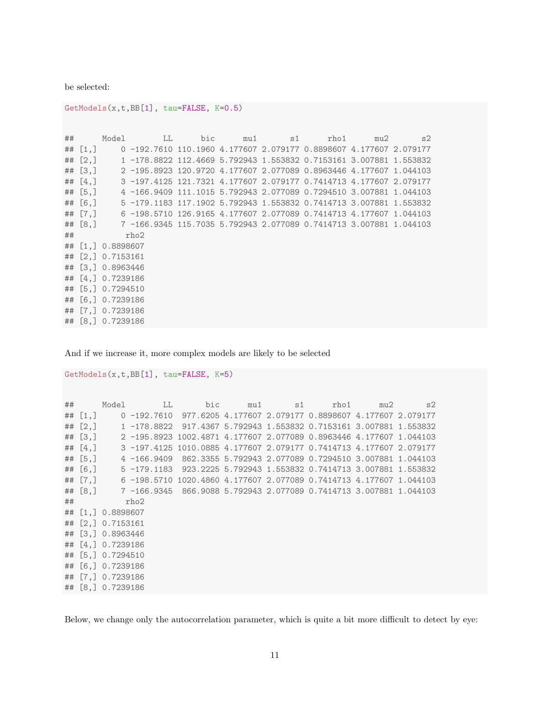be selected:

GetModels(x,t,BB[1], tau=FALSE, K=0.5)

## Model LL bic mu1 s1 rho1 mu2 s2 ## [1,] 0 -192.7610 110.1960 4.177607 2.079177 0.8898607 4.177607 2.079177 ## [2,] 1 -178.8822 112.4669 5.792943 1.553832 0.7153161 3.007881 1.553832 ## [3,] 2 -195.8923 120.9720 4.177607 2.077089 0.8963446 4.177607 1.044103 ## [4,] 3 -197.4125 121.7321 4.177607 2.079177 0.7414713 4.177607 2.079177 ## [5,] 4 -166.9409 111.1015 5.792943 2.077089 0.7294510 3.007881 1.044103 ## [6,] 5 -179.1183 117.1902 5.792943 1.553832 0.7414713 3.007881 1.553832 ## [7,] 6 -198.5710 126.9165 4.177607 2.077089 0.7414713 4.177607 1.044103 ## [8,] 7 -166.9345 115.7035 5.792943 2.077089 0.7414713 3.007881 1.044103 ## rho2 ## [1,] 0.8898607 ## [2,] 0.7153161 ## [3,] 0.8963446 ## [4,] 0.7239186 ## [5,] 0.7294510 ## [6,] 0.7239186 ## [7,] 0.7239186 ## [8,] 0.7239186

And if we increase it, more complex models are likely to be selected

GetModels(x,t,BB[1], tau=FALSE, K=5)

```
## Model LL bic mu1 s1 rho1 mu2 s2
## [1,] 0 -192.7610 977.6205 4.177607 2.079177 0.8898607 4.177607 2.079177
## [2,] 1 -178.8822 917.4367 5.792943 1.553832 0.7153161 3.007881 1.553832
## [3,] 2 -195.8923 1002.4871 4.177607 2.077089 0.8963446 4.177607 1.044103
## [4,] 3 -197.4125 1010.0885 4.177607 2.079177 0.7414713 4.177607 2.079177
## [5,] 4 -166.9409 862.3355 5.792943 2.077089 0.7294510 3.007881 1.044103
## [6,] 5 -179.1183 923.2225 5.792943 1.553832 0.7414713 3.007881 1.553832
## [7,] 6 -198.5710 1020.4860 4.177607 2.077089 0.7414713 4.177607 1.044103
## [8,] 7 -166.9345 866.9088 5.792943 2.077089 0.7414713 3.007881 1.044103
## rho2
## [1,] 0.8898607
## [2,] 0.7153161
## [3,] 0.8963446
## [4,] 0.7239186
## [5,] 0.7294510
## [6,] 0.7239186
## [7,] 0.7239186
## [8,] 0.7239186
```
Below, we change only the autocorrelation parameter, which is quite a bit more difficult to detect by eye: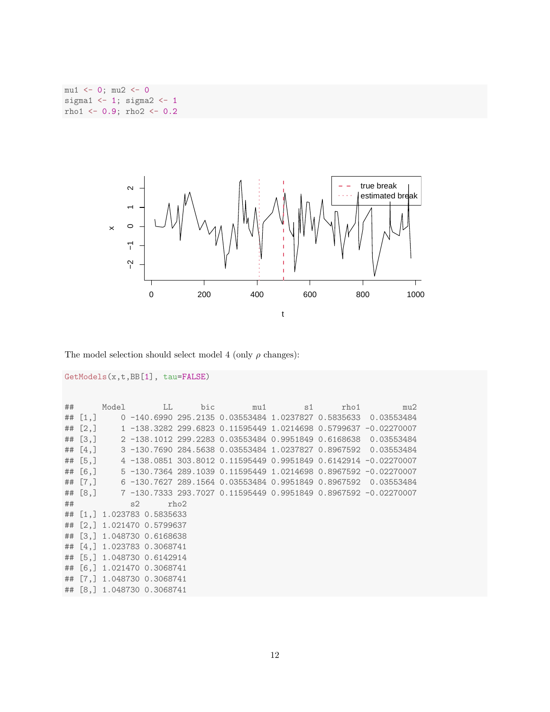$mu1 \leftarrow 0; mu2 \leftarrow 0$ sigma1  $<-1$ ; sigma2  $<-1$ rho $1 \leftarrow 0.9$ ; rho $2 \leftarrow 0.2$ 



The model selection should select model 4 (only  $\rho$  changes):

```
GetModels(x,t,BB[1], tau=FALSE)
```

|             |                                      |  |      |  | ## Model LL bic mu1 s1 rho1 mu2                                          |
|-------------|--------------------------------------|--|------|--|--------------------------------------------------------------------------|
|             |                                      |  |      |  | ## [1,] 0 -140.6990 295.2135 0.03553484 1.0237827 0.5835633 0.03553484   |
|             |                                      |  |      |  | ## [2,] 1 -138.3282 299.6823 0.11595449 1.0214698 0.5799637 -0.02270007  |
|             |                                      |  |      |  | ## [3,] 2 -138.1012 299.2283 0.03553484 0.9951849 0.6168638 0.03553484   |
| $\#$ # [4,] |                                      |  |      |  | 3 -130.7690 284.5638 0.03553484 1.0237827 0.8967592 0.03553484           |
| ## [5, ]    |                                      |  |      |  |                                                                          |
| ## [6, ]    |                                      |  |      |  |                                                                          |
|             |                                      |  |      |  | ## [7,]   6 -130.7627 289.1564 0.03553484 0.9951849 0.8967592 0.03553484 |
|             |                                      |  |      |  | ## [8,] 7 -130.7333 293.7027 0.11595449 0.9951849 0.8967592 -0.02270007  |
|             | $\#$ # $\#$ $\#$ $\#$ $\#$ $\#$ $\#$ |  | rho2 |  |                                                                          |
|             | ## [1,] 1.023783 0.5835633           |  |      |  |                                                                          |
|             | ## [2,] 1.021470 0.5799637           |  |      |  |                                                                          |
|             | ## [3,] 1.048730 0.6168638           |  |      |  |                                                                          |
|             | ## [4.] 1.023783 0.3068741           |  |      |  |                                                                          |
|             | ## [5,] 1.048730 0.6142914           |  |      |  |                                                                          |
|             | ## [6.] 1.021470 0.3068741           |  |      |  |                                                                          |
|             | ## [7,] 1.048730 0.3068741           |  |      |  |                                                                          |
|             | ## [8,] 1.048730 0.3068741           |  |      |  |                                                                          |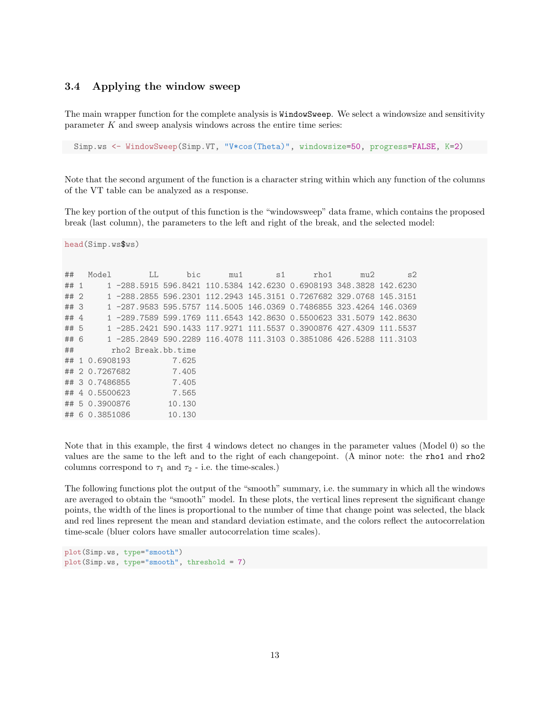#### <span id="page-12-0"></span>3.4 Applying the window sweep

The main wrapper function for the complete analysis is WindowSweep. We select a windowsize and sensitivity parameter  $K$  and sweep analysis windows across the entire time series:

Simp.ws <- WindowSweep(Simp.VT, "V\*cos(Theta)", windowsize=50, progress=FALSE, K=2)

Note that the second argument of the function is a character string within which any function of the columns of the VT table can be analyzed as a response.

The key portion of the output of this function is the "windowsweep" data frame, which contains the proposed break (last column), the parameters to the left and right of the break, and the selected model:

head(Simp.ws\$ws)

| ##   | Model          | LL | bic                | mu1 | s1 | rho1                                                               | mu2 | s2 |
|------|----------------|----|--------------------|-----|----|--------------------------------------------------------------------|-----|----|
| ## 1 |                |    |                    |     |    | 1 -288.5915 596.8421 110.5384 142.6230 0.6908193 348.3828 142.6230 |     |    |
| ## 2 |                |    |                    |     |    | 1 -288.2855 596.2301 112.2943 145.3151 0.7267682 329.0768 145.3151 |     |    |
| ##3  |                |    |                    |     |    | 1 -287.9583 595.5757 114.5005 146.0369 0.7486855 323.4264 146.0369 |     |    |
| ## 4 |                |    |                    |     |    | 1 -289.7589 599.1769 111.6543 142.8630 0.5500623 331.5079 142.8630 |     |    |
| ## 5 |                |    |                    |     |    | 1 -285.2421 590.1433 117.9271 111.5537 0.3900876 427.4309 111.5537 |     |    |
| ## 6 |                |    |                    |     |    | 1 -285.2849 590.2289 116.4078 111.3103 0.3851086 426.5288 111.3103 |     |    |
| ##   |                |    | rho2 Break.bb.time |     |    |                                                                    |     |    |
|      | ## 1 0.6908193 |    | 7.625              |     |    |                                                                    |     |    |
|      | ## 2 0.7267682 |    | 7.405              |     |    |                                                                    |     |    |
|      | ## 3 0.7486855 |    | 7.405              |     |    |                                                                    |     |    |
|      | ## 4 0.5500623 |    | 7.565              |     |    |                                                                    |     |    |
|      | ## 5 0.3900876 |    | 10.130             |     |    |                                                                    |     |    |
|      | ## 6 0.3851086 |    | 10.130             |     |    |                                                                    |     |    |

Note that in this example, the first 4 windows detect no changes in the parameter values (Model 0) so the values are the same to the left and to the right of each changepoint. (A minor note: the rho1 and rho2 columns correspond to  $\tau_1$  and  $\tau_2$  - i.e. the time-scales.)

The following functions plot the output of the "smooth" summary, i.e. the summary in which all the windows are averaged to obtain the "smooth" model. In these plots, the vertical lines represent the significant change points, the width of the lines is proportional to the number of time that change point was selected, the black and red lines represent the mean and standard deviation estimate, and the colors reflect the autocorrelation time-scale (bluer colors have smaller autocorrelation time scales).

```
plot(Simp.ws, type="smooth")
plot(Simp.ws, type="smooth", threshold = 7)
```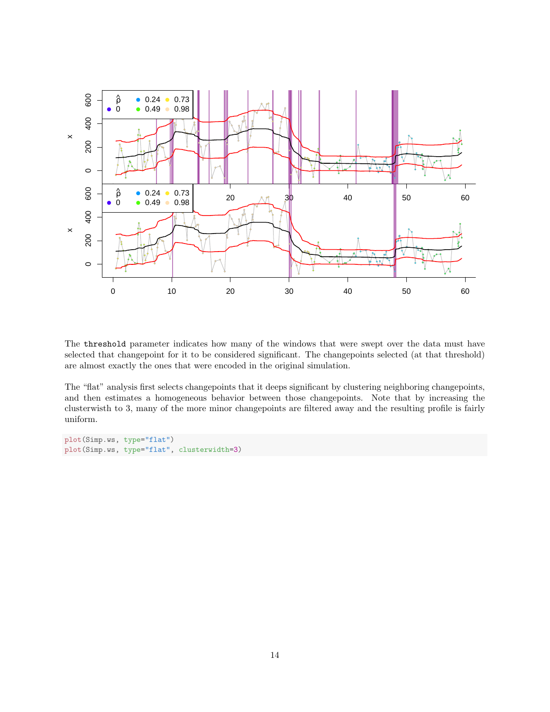

The threshold parameter indicates how many of the windows that were swept over the data must have selected that changepoint for it to be considered significant. The changepoints selected (at that threshold) are almost exactly the ones that were encoded in the original simulation.

The "flat" analysis first selects changepoints that it deeps significant by clustering neighboring changepoints, and then estimates a homogeneous behavior between those changepoints. Note that by increasing the clusterwisth to 3, many of the more minor changepoints are filtered away and the resulting profile is fairly uniform.

```
plot(Simp.ws, type="flat")
plot(Simp.ws, type="flat", clusterwidth=3)
```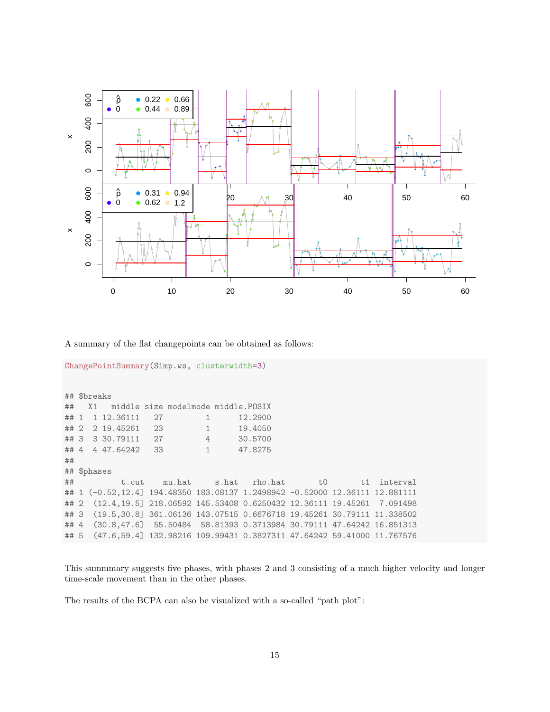

A summary of the flat changepoints can be obtained as follows:

```
ChangePointSummary(Simp.ws, clusterwidth=3)
## $breaks
## X1 middle size modelmode middle.POSIX
## 1 1 12.36111 27 1 12.2900
## 2 2 19.45261 23 1 19.4050
## 3 3 30.79111 27 4 30.5700
## 4 4 47.64242 33 1 47.8275
##
## $phases
## t.cut mu.hat s.hat rho.hat t0 t1 interval
## 1 (-0.52,12.4] 194.48350 183.08137 1.2498942 -0.52000 12.36111 12.881111
## 2 (12.4,19.5] 218.06592 145.53408 0.6250432 12.36111 19.45261 7.091498
## 3 (19.5,30.8] 361.06136 143.07515 0.6676718 19.45261 30.79111 11.338502
## 4 (30.8,47.6] 55.50484 58.81393 0.3713984 30.79111 47.64242 16.851313
## 5 (47.6,59.4] 132.98216 109.99431 0.3827311 47.64242 59.41000 11.767576
```
This summmary suggests five phases, with phases 2 and 3 consisting of a much higher velocity and longer time-scale movement than in the other phases.

The results of the BCPA can also be visualized with a so-called "path plot":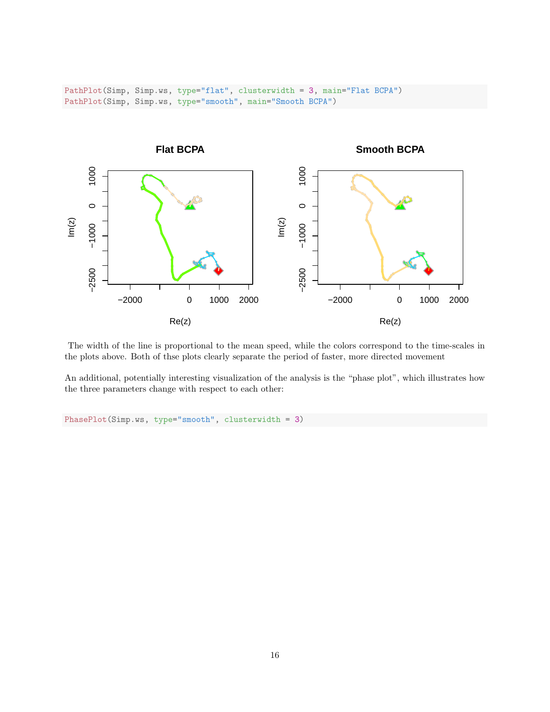PathPlot(Simp, Simp.ws, type="flat", clusterwidth = 3, main="Flat BCPA") PathPlot(Simp, Simp.ws, type="smooth", main="Smooth BCPA")



The width of the line is proportional to the mean speed, while the colors correspond to the time-scales in the plots above. Both of thse plots clearly separate the period of faster, more directed movement

An additional, potentially interesting visualization of the analysis is the "phase plot", which illustrates how the three parameters change with respect to each other:

```
PhasePlot(Simp.ws, type="smooth", clusterwidth = 3)
```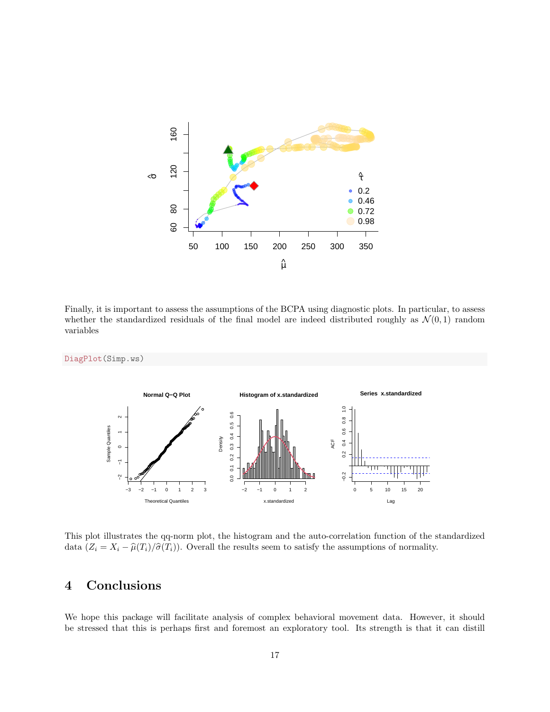

Finally, it is important to assess the assumptions of the BCPA using diagnostic plots. In particular, to assess whether the standardized residuals of the final model are indeed distributed roughly as  $\mathcal{N}(0, 1)$  random variables



This plot illustrates the qq-norm plot, the histogram and the auto-correlation function of the standardized data  $(Z_i = X_i - \hat{\mu}(T_i)/\hat{\sigma}(T_i))$ . Overall the results seem to satisfy the assumptions of normality.

# <span id="page-16-0"></span>4 Conclusions

We hope this package will facilitate analysis of complex behavioral movement data. However, it should be stressed that this is perhaps first and foremost an exploratory tool. Its strength is that it can distill